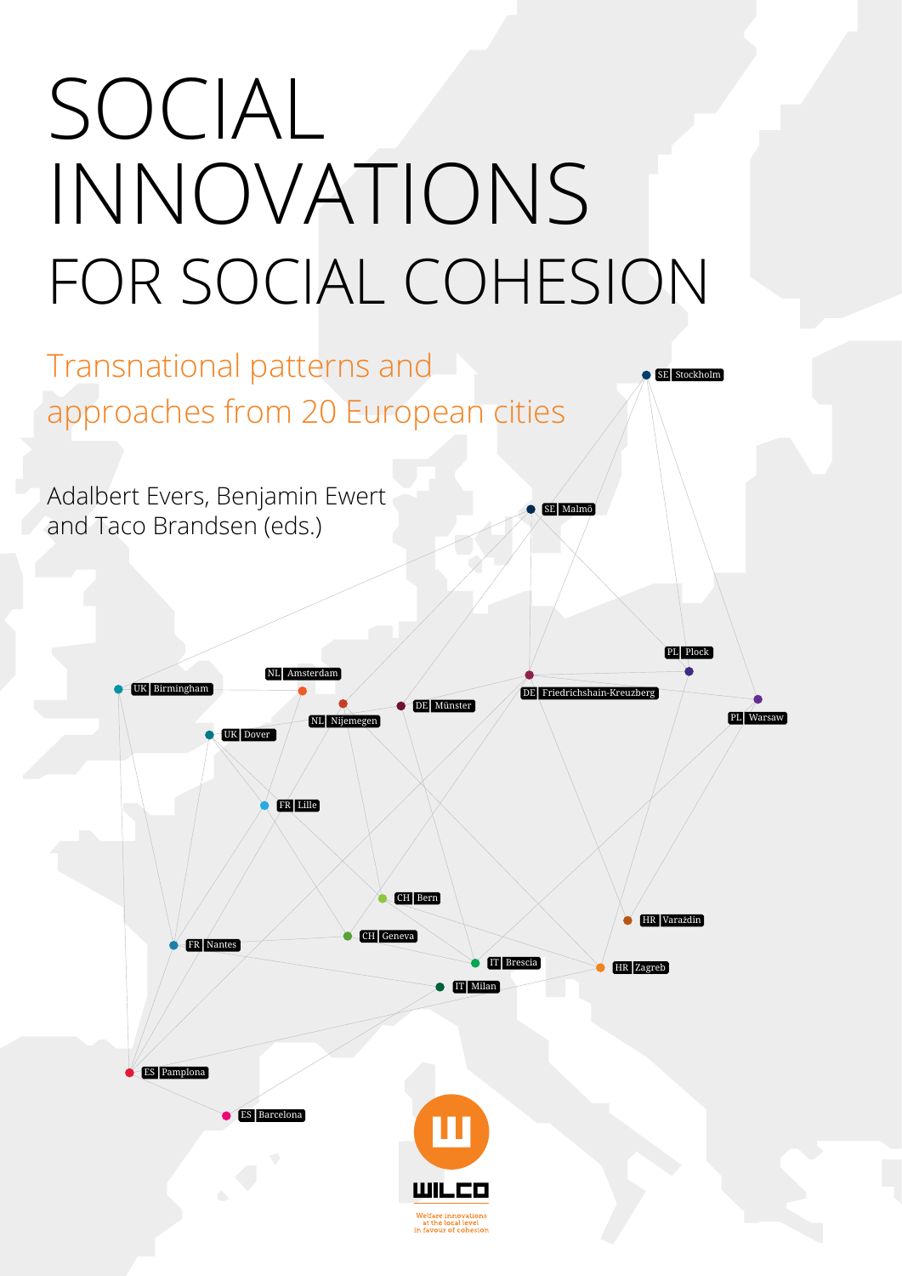## SOCIAL INNOVATIONS FOR SOCIAL COHESION

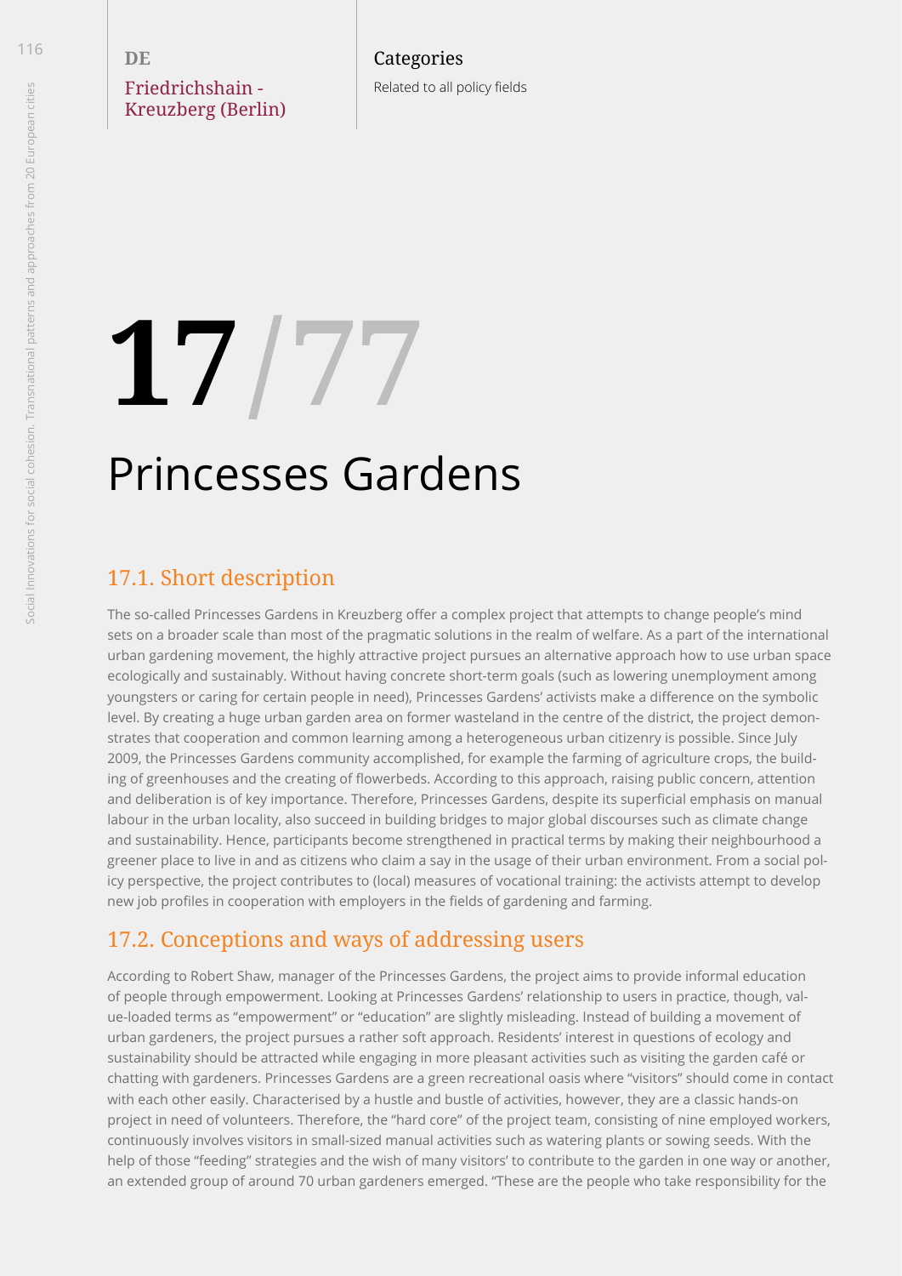Related to all policy fields

# Princesses Gardens **17/77**

### 17.1. Short description

The so-called Princesses Gardens in Kreuzberg offer a complex project that attempts to change people's mind sets on a broader scale than most of the pragmatic solutions in the realm of welfare. As a part of the international urban gardening movement, the highly attractive project pursues an alternative approach how to use urban space ecologically and sustainably. Without having concrete short-term goals (such as lowering unemployment among youngsters or caring for certain people in need), Princesses Gardens' activists make a difference on the symbolic level. By creating a huge urban garden area on former wasteland in the centre of the district, the project demon strates that cooperation and common learning among a heterogeneous urban citizenry is possible. Since July 2009, the Princesses Gardens community accomplished, for example the farming of agriculture crops, the build ing of greenhouses and the creating of flowerbeds. According to this approach, raising public concern, attention and deliberation is of key importance. Therefore, Princesses Gardens, despite its superficial emphasis on manual labour in the urban locality, also succeed in building bridges to major global discourses such as climate change and sustainability. Hence, participants become strengthened in practical terms by making their neighbourhood a greener place to live in and as citizens who claim a say in the usage of their urban environment. From a social pol icy perspective, the project contributes to (local) measures of vocational training: the activists attempt to develop new job profiles in cooperation with employers in the fields of gardening and farming.

#### 17.2. Conceptions and ways of addressing users

According to Robert Shaw, manager of the Princesses Gardens, the project aims to provide informal education of people through empowerment. Looking at Princesses Gardens' relationship to users in practice, though, val ue-loaded terms as "empowerment" or "education" are slightly misleading. Instead of building a movement of urban gardeners, the project pursues a rather soft approach. Residents' interest in questions of ecology and sustainability should be attracted while engaging in more pleasant activities such as visiting the garden café or chatting with gardeners. Princesses Gardens are a green recreational oasis where "visitors" should come in contact with each other easily. Characterised by a hustle and bustle of activities, however, they are a classic hands-on project in need of volunteers. Therefore, the "hard core" of the project team, consisting of nine employed workers, continuously involves visitors in small-sized manual activities such as watering plants or sowing seeds. With the help of those "feeding" strategies and the wish of many visitors' to contribute to the garden in one way or another, an extended group of around 70 urban gardeners emerged. "These are the people who take responsibility for the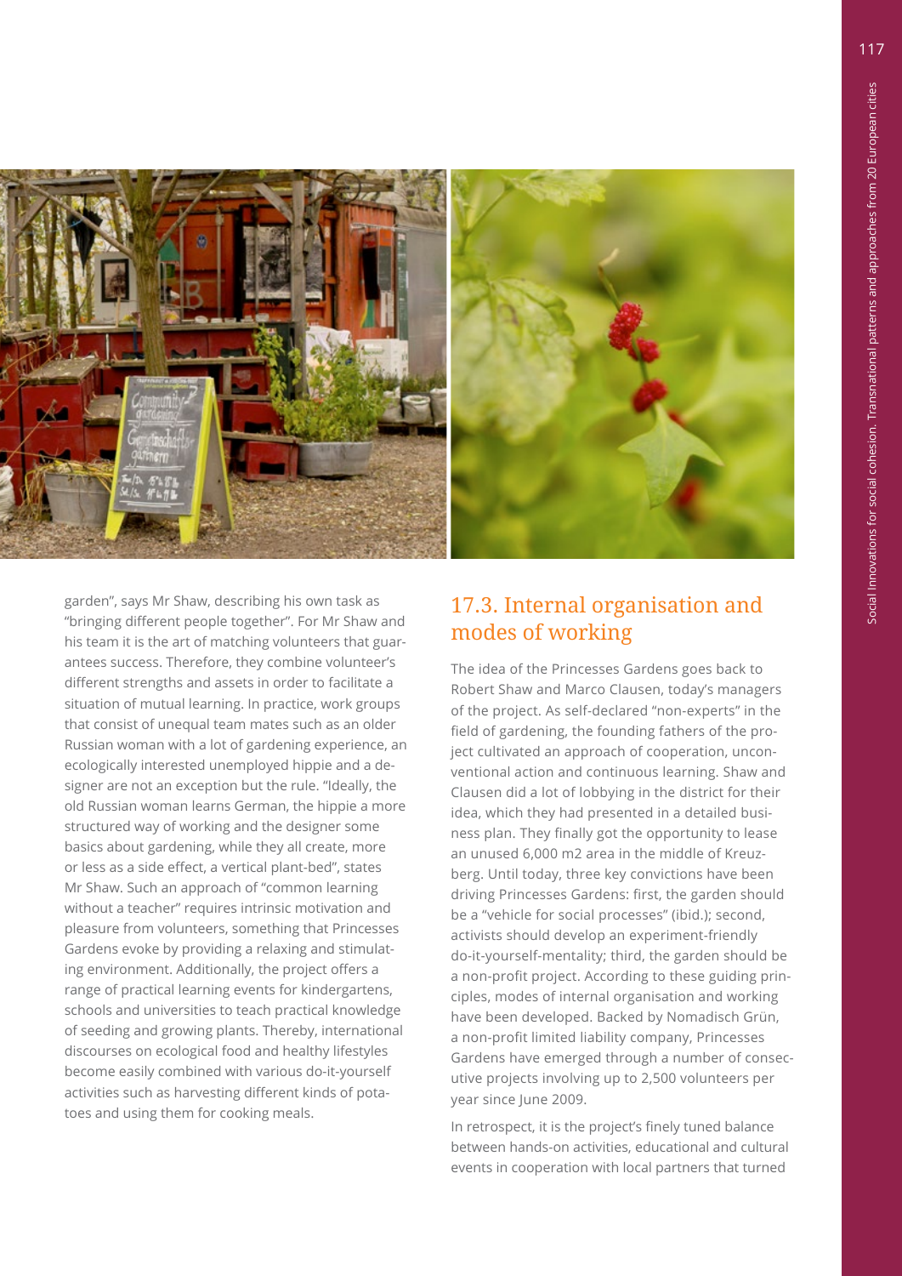117



garden", says Mr Shaw, describing his own task as "bringing different people together". For Mr Shaw and his team it is the art of matching volunteers that guarantees success. Therefore, they combine volunteer's different strengths and assets in order to facilitate a situation of mutual learning. In practice, work groups that consist of unequal team mates such as an older Russian woman with a lot of gardening experience, an ecologically interested unemployed hippie and a designer are not an exception but the rule. "Ideally, the old Russian woman learns German, the hippie a more structured way of working and the designer some basics about gardening, while they all create, more or less as a side effect, a vertical plant-bed", states Mr Shaw. Such an approach of "common learning without a teacher" requires intrinsic motivation and pleasure from volunteers, something that Princesses Gardens evoke by providing a relaxing and stimulating environment. Additionally, the project offers a range of practical learning events for kindergartens, schools and universities to teach practical knowledge of seeding and growing plants. Thereby, international discourses on ecological food and healthy lifestyles become easily combined with various do-it-yourself activities such as harvesting different kinds of potatoes and using them for cooking meals.

#### 17.3. Internal organisation and modes of working

The idea of the Princesses Gardens goes back to Robert Shaw and Marco Clausen, today's managers of the project. As self-declared "non-experts" in the field of gardening, the founding fathers of the project cultivated an approach of cooperation, unconventional action and continuous learning. Shaw and Clausen did a lot of lobbying in the district for their idea, which they had presented in a detailed business plan. They finally got the opportunity to lease an unused 6,000 m2 area in the middle of Kreuzberg. Until today, three key convictions have been driving Princesses Gardens: first, the garden should be a "vehicle for social processes" (ibid.); second, activists should develop an experiment-friendly do-it-yourself-mentality; third, the garden should be a non-profit project. According to these guiding principles, modes of internal organisation and working have been developed. Backed by Nomadisch Grün, a non-profit limited liability company, Princesses Gardens have emerged through a number of consecutive projects involving up to 2,500 volunteers per year since June 2009.

In retrospect, it is the project's finely tuned balance between hands-on activities, educational and cultural events in cooperation with local partners that turned